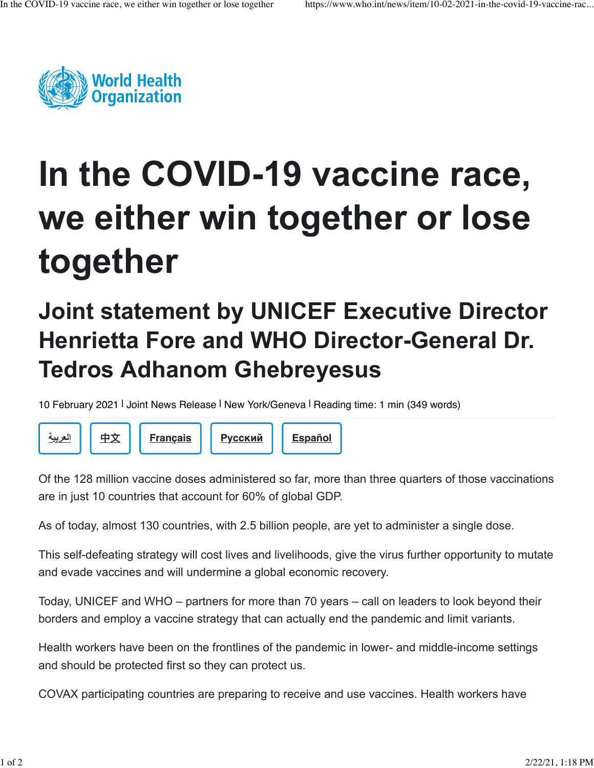

## **In the COVID-19 vaccine race, we either win together or lose together**

## **Joint statement by UNICEF Executive Director Henrietta Fore and WHO Director-General Dr. Tedros Adhanom Ghebreyesus**

10 February 2021 | Joint News Release | New York/Geneva | Reading time: 1 min (349 words)



Of the 128 million vaccine doses administered so far, more than three quarters of those vaccinations are in just 10 countries that account for 60% of global GDP.

As of today, almost 130 countries, with 2.5 billion people, are yet to administer a single dose.

This self-defeating strategy will cost lives and livelihoods, give the virus further opportunity to mutate and evade vaccines and will undermine a global economic recovery.

Today, UNICEF and WHO – partners for more than 70 years – call on leaders to look beyond their borders and employ a vaccine strategy that can actually end the pandemic and limit variants.

Health workers have been on the frontlines of the pandemic in lower- and middle-income settings and should be protected first so they can protect us.

COVAX participating countries are preparing to receive and use vaccines. Health workers have